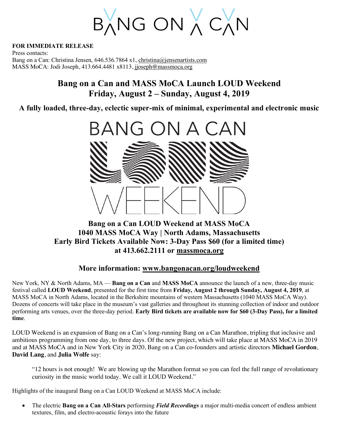BANG ON A CAN

**FOR IMMEDIATE RELEASE**

Press contacts: Bang on a Can: Christina Jensen,  $646.536.7864 \times 1$ , christina@jensenartists.com MASS MoCA: Jodi Joseph, 413.664.4481 x8113, jjoseph@massmoca.org

# **Bang on a Can and MASS MoCA Launch LOUD Weekend Friday, August 2 – Sunday, August 4, 2019**

**A fully loaded, three-day, eclectic super-mix of minimal, experimental and electronic music**



## **Bang on a Can LOUD Weekend at MASS MoCA 1040 MASS MoCA Way | North Adams, Massachusetts Early Bird Tickets Available Now: 3-Day Pass \$60 (for a limited time) at 413.662.2111 or massmoca.org**

## **More information: www.bangonacan.org/loudweekend**

New York, NY & North Adams, MA — **Bang on a Can** and **MASS MoCA** announce the launch of a new, three-day music festival called **LOUD Weekend**, presented for the first time from **Friday, August 2 through Sunday, August 4, 2019**, at MASS MoCA in North Adams, located in the Berkshire mountains of western Massachusetts (1040 MASS MoCA Way). Dozens of concerts will take place in the museum's vast galleries and throughout its stunning collection of indoor and outdoor performing arts venues, over the three-day period. **Early Bird tickets are available now for \$60 (3-Day Pass), for a limited time**.

LOUD Weekend is an expansion of Bang on a Can's long-running Bang on a Can Marathon, tripling that inclusive and ambitious programming from one day, to three days. Of the new project, which will take place at MASS MoCA in 2019 and at MASS MoCA and in New York City in 2020, Bang on a Can co-founders and artistic directors **Michael Gordon**, **David Lang**, and **Julia Wolfe** say:

"12 hours is not enough! We are blowing up the Marathon format so you can feel the full range of revolutionary curiosity in the music world today. We call it LOUD Weekend."

Highlights of the inaugural Bang on a Can LOUD Weekend at MASS MoCA include:

• The electric **Bang on a Can All-Stars** performing *Field Recordings* a major multi-media concert of endless ambient textures, film, and electro-acoustic forays into the future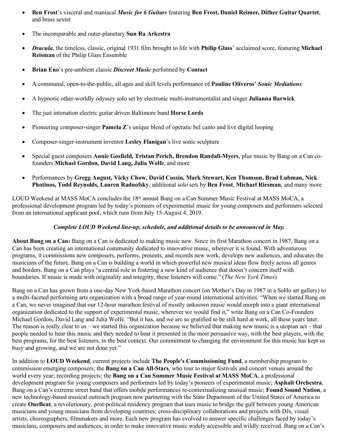- **Ben Frost**'s visceral and maniacal *Music for 6 Guitars* featuring **Ben Frost, Daniel Reimer, Dither Guitar Quartet**, and brass sextet
- The incomparable and outer-planetary **Sun Ra Arkestra**
- *Dracula*, the timeless, classic, original 1931 film brought to life with **Philip Glass**' acclaimed score, featuring **Michael Reisman** of the Philip Glass Ensemble
- **Brian Eno**'s pre-ambient classic *Discreet Music* performed by **Contact**
- A communal, open-to-the-public, all ages and skill levels performance of **Pauline Oliveros'** *Sonic Mediations*
- A hypnotic other-worldly odyssey solo set by electronic multi-instrumentalist and singer **Julianna Barwick**
- The just intonation electric guitar driven Baltimore band **Horse Lords**
- Pioneering composer-singer **Pamela Z**'s unique blend of operatic bel canto and live digital looping
- Composer-singer-instrument inventor **Lesley Flanigan**'s live sonic sculpture
- Special guest composers **Annie Gosfield, Tristan Perich, Brendon Randall-Myers**, plus music by Bang on a Can cofounders **Michael Gordon, David Lang, Julia Wolfe**, and more
- Performances by **Gregg August, Vicky Chow, David Cossin, Mark Stewart, Ken Thomson, Brad Lubman, Nick Photinos, Todd Reynolds, Lauren Radnofsky**, additional solo sets by **Ben Frost**, **Michael Riesman**, and many more

LOUD Weekend at MASS MoCA concludes the 18<sup>th</sup> annual Bang on a Can Summer Music Festival at MASS MoCA, a professional development program led by today's pioneers of experimental music for young composers and performers selected from an international applicant pool, which runs from July 15-August 4, 2019.

#### *Complete LOUD Weekend line-up, schedule, and additional details to be announced in May.*

**About Bang on a Can:** Bang on a Can is dedicated to making music new. Since its first Marathon concert in 1987, Bang on a Can has been creating an international community dedicated to innovative music, wherever it is found. With adventurous programs, it commissions new composers, performs, presents, and records new work, develops new audiences, and educates the musicians of the future. Bang on a Can is building a world in which powerful new musical ideas flow freely across all genres and borders. Bang on a Can plays "a central role in fostering a new kind of audience that doesn't concern itself with boundaries. If music is made with originality and integrity, these listeners will come." (*The New York Times*)

Bang on a Can has grown from a one-day New York-based Marathon concert (on Mother's Day in 1987 in a SoHo art gallery) to a multi-faceted performing arts organization with a broad range of year-round international activities. "When we started Bang on a Can, we never imagined that our 12-hour marathon festival of mostly unknown music would morph into a giant international organization dedicated to the support of experimental music, wherever we would find it," write Bang on a Can Co-Founders Michael Gordon, David Lang and Julia Wolfe. "But it has, and we are so gratified to be still hard at work, all these years later. The reason is really clear to us – we started this organization because we believed that making new music is a utopian act – that people needed to hear this music and they needed to hear it presented in the most persuasive way, with the best players, with the best programs, for the best listeners, in the best context. Our commitment to changing the environment for this music has kept us busy and growing, and we are not done yet."

In addition to **LOUD Weekend**, current projects include **The People's Commissioning Fund**, a membership program to commission emerging composers; the **Bang on a Can All-Stars**, who tour to major festivals and concert venues around the world every year; recording projects; the **Bang on a Can Summer Music Festival at MASS MoCA**, a professional development program for young composers and performers led by today's pioneers of experimental music; **Asphalt Orchestra**, Bang on a Can's extreme street band that offers mobile performances re-contextualizing unusual music; **Found Sound Nation**, a new technology-based musical outreach program now partnering with the State Department of the United States of America to create **OneBeat**, a revolutionary, post-political residency program that uses music to bridge the gulf between young American musicians and young musicians from developing countries; cross-disciplinary collaborations and projects with DJs, visual artists, choreographers, filmmakers and more. Each new program has evolved to answer specific challenges faced by today's musicians, composers and audiences, in order to make innovative music widely accessible and wildly received. Bang on a Can's